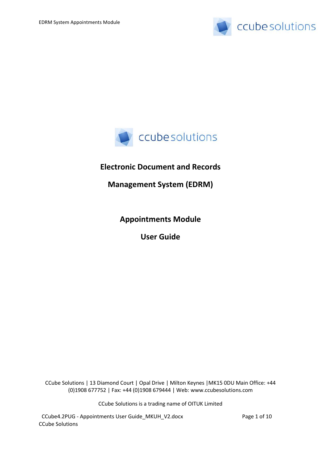



# **Electronic Document and Records**

**Management System (EDRM)**

**Appointments Module** 

**User Guide**

CCube Solutions | 13 Diamond Court | Opal Drive | Milton Keynes |MK15 0DU Main Office: +44 (0)1908 677752 | Fax: +44 (0)1908 679444 | Web: www.ccubesolutions.com

CCube Solutions is a trading name of OITUK Limited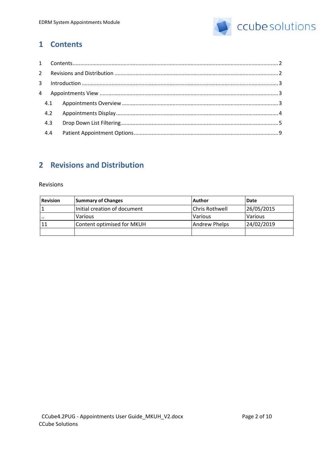

## <span id="page-1-0"></span>**1 Contents**

# <span id="page-1-1"></span>**2 Revisions and Distribution**

#### Revisions

| <b>Revision</b> | <b>Summary of Changes</b>    | l Author              | Date       |
|-----------------|------------------------------|-----------------------|------------|
|                 | Initial creation of document | <b>Chris Rothwell</b> | 26/05/2015 |
| .               | Various                      | Various               | Various    |
| 11              | Content optimised for MKUH   | Andrew Phelps         | 24/02/2019 |
|                 |                              |                       |            |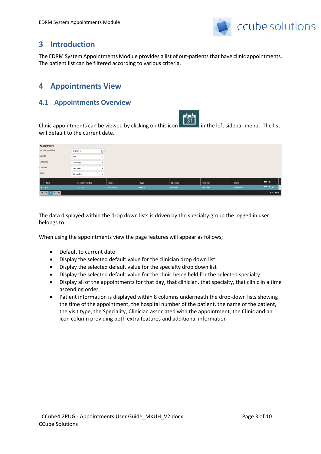

# <span id="page-2-0"></span>**3 Introduction**

The EDRM System Appointments Module provides a list of out-patients that have clinic appointments. The patient list can be filtered according to various criteria.

# <span id="page-2-1"></span>**4 Appointments View**

### <span id="page-2-2"></span>**4.1 Appointments Overview**

Clinic appointments can be viewed by clicking on this icon  $\begin{bmatrix} 31 \\ 31 \end{bmatrix}$  in the left sidebar menu. The list will default to the current date.

| Appointments                                                                     |                        |                           |          |            |            |             |                    |
|----------------------------------------------------------------------------------|------------------------|---------------------------|----------|------------|------------|-------------|--------------------|
| <b>Appointment Date</b>                                                          | 11/04/2018             | 自                         |          |            |            |             |                    |
| AM/PM                                                                            | Both                   | $\overline{\mathbf{v}}$   |          |            |            |             |                    |
| Speciality                                                                       | Cardiology             | $\mathbf{v}$              |          |            |            |             |                    |
| Clinician                                                                        | Paul Smith             | $\boldsymbol{\mathrm{v}}$ |          |            |            |             |                    |
| Clinic                                                                           | Dermatology            | $\boldsymbol{\mathrm{v}}$ |          |            |            |             |                    |
| Time                                                                             | <b>Hospital Number</b> | Name                      | Type     | Specialty  | Clinician  | Clinic      | ≞ ☆                |
| $\blacktriangleright$ 13:45                                                      | 1591366X               | Grey James                | Referral | Cardiology | Paul Smith | Dermatology | 皇女人                |
| <b>ER 4</b><br>$\blacktriangleright$ $\blacktriangleright$ $\blacktriangleright$ |                        |                           |          |            |            |             | $1 - 1$ of 1 items |

The data displayed within the drop down lists is driven by the specialty group the logged in user belongs to.

When using the appointments view the page features will appear as follows;

- Default to current date
- Display the selected default value for the clinician drop down list
- Display the selected default value for the specialty drop down list
- Display the selected default value for the clinic being held for the selected specialty
- Display all of the appointments for that day, that clinician, that specialty, that clinic in a time ascending order.
- Patient information is displayed within 8 columns underneath the drop-down lists showing the time of the appointment, the hospital number of the patient, the name of the patient, the visit type, the Speciality, Clinician associated with the appointment, the Clinic and an icon column providing both extra features and additional information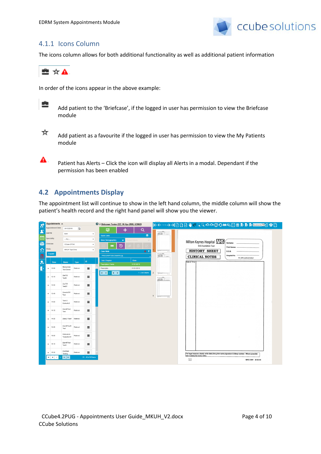

#### 4.1.1 Icons Column

The icons column allows for both additional functionality as well as additional patient information



In order of the icons appear in the above example:



Add patient to the 'Briefcase', if the logged in user has permission to view the Briefcase module



А.

Add patient as a favourite if the logged in user has permission to view the My Patients module

Patient has Alerts – Click the icon will display all Alerts in a modal. Dependant if the permission has been enabled

### <span id="page-3-0"></span>**4.2 Appointments Display**

The appointment list will continue to show in the left hand column, the middle column will show the patient's health record and the right hand panel will show you the viewer.

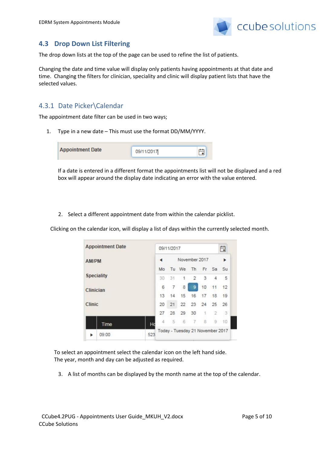

#### <span id="page-4-0"></span>**4.3 Drop Down List Filtering**

The drop down lists at the top of the page can be used to refine the list of patients.

Changing the date and time value will display only patients having appointments at that date and time. Changing the filters for clinician, speciality and clinic will display patient lists that have the selected values.

### 4.3.1 Date Picker\Calendar

The appointment date filter can be used in two ways;

1. Type in a new date – This must use the format DD/MM/YYYY.

| <b>Appointment Date</b> | 09/11/2017 |  |
|-------------------------|------------|--|
|                         |            |  |

If a date is entered in a different format the appointments list will not be displayed and a red box will appear around the display date indicating an error with the value entered.

2. Select a different appointment date from within the calendar picklist.

Clicking on the calendar icon, will display a list of days within the currently selected month.

| <b>Appointment Date</b>        |     |                                  | 09/11/2017 |                      |     |    |     | 曲        |
|--------------------------------|-----|----------------------------------|------------|----------------------|-----|----|-----|----------|
| <b>AM/PM</b>                   |     |                                  |            | November 2017        |     |    |     |          |
| <b>Speciality</b><br>Clinician |     | Mo                               |            | Tu We                | Th. |    |     | Fr Sa Su |
|                                |     | 30                               | 31         | $\ddot{\phantom{1}}$ | 2   | 3  | 4   | 5        |
|                                |     | 6                                | 7          | 8                    | 9   | 10 | 11  | 12       |
|                                |     | 13                               | 14         | 15                   | 16  | 17 | -18 | 19       |
| Clinic                         |     | 20                               | 21         | 22                   | 23  | 24 | 25  | 26       |
|                                |     | 27                               | 28         | 29                   | 30  | 1  | 2   | 3        |
| Time                           |     | Δ                                | -5         | -6                   | 71  | 8  | 9   | $-10$    |
| 09:00                          | 523 | Today - Tuesday 21 November 2017 |            |                      |     |    |     |          |

To select an appointment select the calendar icon on the left hand side. The year, month and day can be adjusted as required.

3. A list of months can be displayed by the month name at the top of the calendar.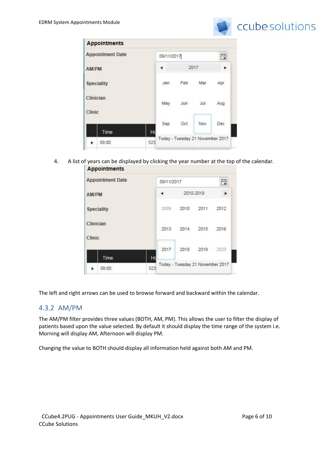

|                     | <b>Appointments</b>     |            |     |     |                                  |      |
|---------------------|-------------------------|------------|-----|-----|----------------------------------|------|
|                     | <b>Appointment Date</b> | 09/11/2017 |     |     | ä                                |      |
|                     | <b>AM/PM</b>            |            |     |     | 2017                             |      |
|                     | <b>Speciality</b>       |            | Jan | Feb | Mar                              | Apr  |
| Clinician<br>Clinic |                         |            | May | Jun | Jul                              | Aug  |
|                     |                         |            | Sep | Oct | Nov                              | Dec- |
|                     | Time                    | Ho         |     |     | Today - Tuesday 21 November 2017 |      |
|                     | 09:00                   | 523        |     |     |                                  |      |

4. A list of years can be displayed by clicking the year number at the top of the calendar. **Appointments** 



The left and right arrows can be used to browse forward and backward within the calendar.

#### 4.3.2 AM/PM

The AM/PM filter provides three values (BOTH, AM, PM). This allows the user to filter the display of patients based upon the value selected. By default it should display the time range of the system i.e. Morning will display AM, Afternoon will display PM.

Changing the value to BOTH should display all information held against both AM and PM.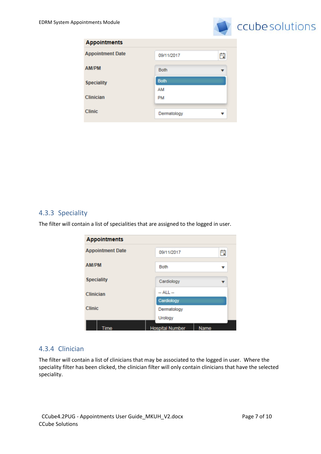

| 09/11/2017  | Ö |
|-------------|---|
| <b>Both</b> |   |
| <b>Both</b> |   |
| AM          |   |
| PM          |   |
|             |   |
| Dermatology | v |
|             |   |

### 4.3.3 Speciality

The filter will contain a list of specialities that are assigned to the logged in user.

| <b>Appointments</b>     |                        |      |
|-------------------------|------------------------|------|
| <b>Appointment Date</b> | 09/11/2017             | ä    |
| <b>AM/PM</b>            | <b>Both</b>            | v    |
| <b>Speciality</b>       | Cardiology             |      |
| Clinician               | -- ALL --              |      |
|                         | Cardiology             |      |
| <b>Clinic</b>           | Dermatology            |      |
|                         | Urology                |      |
| <b>Time</b>             | <b>Hospital Number</b> | Name |

#### 4.3.4 Clinician

The filter will contain a list of clinicians that may be associated to the logged in user. Where the speciality filter has been clicked, the clinician filter will only contain clinicians that have the selected speciality.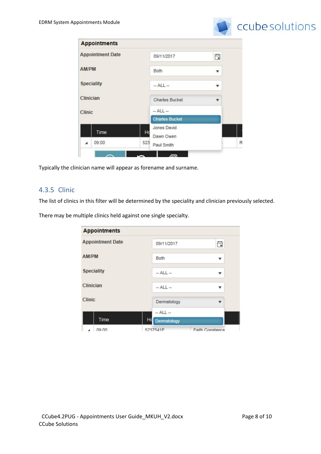

|               | <b>Appointments</b>     |     |                          |                         |   |
|---------------|-------------------------|-----|--------------------------|-------------------------|---|
|               | <b>Appointment Date</b> |     | 09/11/2017               | ä                       |   |
| AM/PM         |                         |     | Both                     | $\overline{\mathbf{v}}$ |   |
|               | <b>Speciality</b>       |     | $-$ ALL $-$              | v                       |   |
| Clinician     |                         |     | <b>Charles Bucket</b>    |                         |   |
| <b>Clinic</b> |                         |     | $-$ ALL $-$              |                         |   |
|               |                         |     | <b>Charles Bucket</b>    |                         |   |
|               | Time                    | Ho  | Jones David<br>Dawn Owen |                         | ٠ |
| ◢             | 09:00                   | 523 | Paul Smith               |                         | R |
|               |                         |     |                          |                         |   |

Typically the clinician name will appear as forename and surname.

#### 4.3.5 Clinic

The list of clinics in this filter will be determined by the speciality and clinician previously selected.

There may be multiple clinics held against one single specialty.

| <b>Appointments</b>     |                                  |                        |
|-------------------------|----------------------------------|------------------------|
| <b>Appointment Date</b> | 09/11/2017                       | 曲                      |
| AM/PM                   | <b>Both</b>                      | v                      |
| <b>Speciality</b>       | $-$ ALL $-$                      | v                      |
| Clinician               | $-$ ALL $-$                      |                        |
| <b>Clinic</b>           | Dermatology                      |                        |
| Time                    | $-$ ALL $-$<br>Ho<br>Dermatology |                        |
| na·nn                   | 5237541F                         | <b>Faith Constance</b> |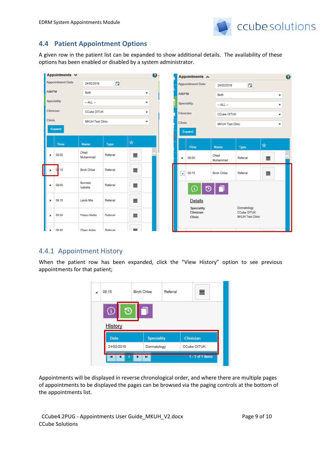

## <span id="page-8-0"></span>**4.4 Patient Appointment Options**

A given row in the patient list can be expanded to show additional details. The availability of these options has been enabled or disabled by a system administrator.

|              | Appointments $\mathbf{\mathbf{\Psi}}$ |                     |             |          | $\boldsymbol{v}$ |                      | Appointments A                    |                   |                                                |   |                          | $\bullet$ |
|--------------|---------------------------------------|---------------------|-------------|----------|------------------|----------------------|-----------------------------------|-------------------|------------------------------------------------|---|--------------------------|-----------|
|              | <b>Appointment Date</b>               | 24/02/2019          | Ë           |          |                  |                      | <b>Appointment Date</b>           | 24/02/2019        | Ë                                              |   |                          |           |
| <b>AM/PM</b> |                                       | Both                |             | ▼        |                  | <b>AM/PM</b>         |                                   | Both              |                                                |   | $\overline{\mathbf{v}}$  |           |
|              | Speciality                            | $-$ ALL $-$         |             | ▼        |                  |                      | Speciality                        | $-$ ALL $-$       |                                                |   | ۰                        |           |
| Clinician    |                                       | CCube OITUK         |             | ▼        |                  | Clinician            |                                   | CCube OITUK       |                                                |   | ▼                        |           |
| Clinic       |                                       | MKUH Test Clinic    |             | ▼        |                  | Clinic               |                                   | MKUH Test Clinic  |                                                |   | $\overline{\phantom{a}}$ |           |
|              | Expand                                |                     |             |          |                  |                      | Expand                            |                   |                                                |   |                          |           |
|              |                                       |                     |             | $\star$  |                  |                      |                                   |                   |                                                |   |                          |           |
|              | <b>Time</b>                           | <b>Name</b>         | <b>Type</b> |          |                  |                      | <b>Time</b>                       | <b>Name</b>       | <b>Type</b>                                    | ☆ |                          |           |
|              | 08:00                                 | ONeil<br>Muhammad   | Referral    | $\equiv$ |                  | ь                    | 08:00                             | ONeil<br>Muhammad | Referral                                       | ≣ |                          |           |
|              | 0:15                                  | Birch Chloe         | Referral    | 亖        |                  | $\blacktriangleleft$ | 08:15                             | Birch Chloe       | Referral                                       | ≣ |                          |           |
|              | 09:00                                 | Burrows<br>Isabella | Referral    | ≣        |                  |                      | ①<br>ŀ۵                           |                   |                                                |   |                          |           |
| ٠            | 09:15                                 | Lamb Mia            | Referral    | 亖        |                  |                      | Details                           |                   |                                                |   |                          |           |
| ٠            | 09:30                                 | Peters Mollie       | Referral    | $\equiv$ |                  |                      | Speciality<br>Clinician<br>Clinic |                   | Dermatology<br>CCube OITUK<br>MKUH Test Clinic |   |                          |           |
|              | $09 - 45$                             | Oliver Aidan        | Referral    | =        |                  |                      |                                   |                   |                                                |   |                          |           |

#### 4.4.1 Appointment History

When the patient row has been expanded, click the "View History" option to see previous appointments for that patient;

|                       | 08:15       | Birch Chloe       | Referral |                  | ≣           |  |
|-----------------------|-------------|-------------------|----------|------------------|-------------|--|
|                       | History     |                   |          |                  |             |  |
|                       | <b>Date</b> | <b>Speciality</b> |          | <b>Clinician</b> |             |  |
|                       | 24/02/2019  | Dermatology       |          |                  | CCube OITUK |  |
| 1 - 1 of 1 items<br>ы |             |                   |          |                  |             |  |

Appointments will be displayed in reverse chronological order, and where there are multiple pages of appointments to be displayed the pages can be browsed via the paging controls at the bottom of the appointments list.